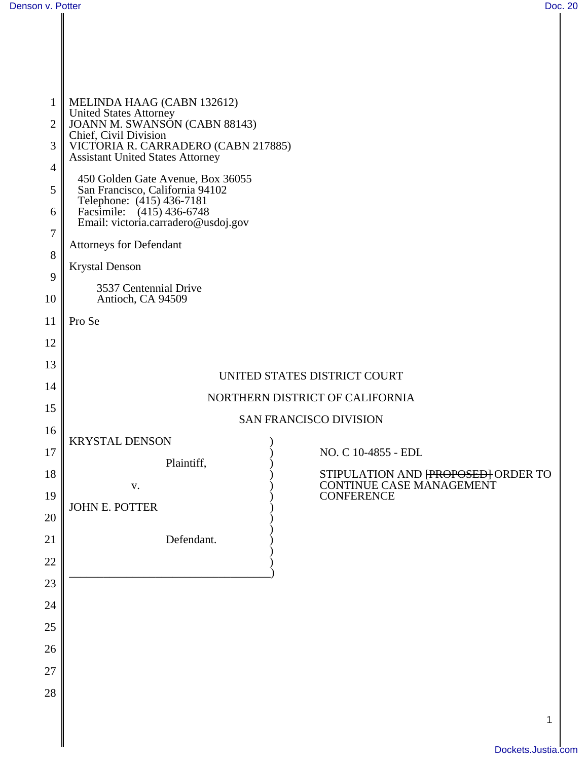| 2<br>3<br>$\overline{4}$<br>5<br>6<br>7<br>$8\,$<br>9<br>10 | MELINDA HAAG (CABN 132612)<br><b>United States Attorney</b><br>JOANN M. SWANSÓN (CABN 88143)<br>Chief, Civil Division<br>VICTORIA R. CARRADERO (CABN 217885)<br><b>Assistant United States Attorney</b><br>450 Golden Gate Avenue, Box 36055<br>San Francisco, California 94102<br>Telephone: (415) 436-7181<br>Facsimile: (415) 436-6748<br>Email: victoria.carradero@usdoj.gov<br><b>Attorneys for Defendant</b><br><b>Krystal Denson</b><br>3537 Centennial Drive<br>Antioch, CA 94509 |  |  |  |
|-------------------------------------------------------------|-------------------------------------------------------------------------------------------------------------------------------------------------------------------------------------------------------------------------------------------------------------------------------------------------------------------------------------------------------------------------------------------------------------------------------------------------------------------------------------------|--|--|--|
|                                                             |                                                                                                                                                                                                                                                                                                                                                                                                                                                                                           |  |  |  |
| 11                                                          | Pro Se                                                                                                                                                                                                                                                                                                                                                                                                                                                                                    |  |  |  |
| 12                                                          |                                                                                                                                                                                                                                                                                                                                                                                                                                                                                           |  |  |  |
| 13                                                          | UNITED STATES DISTRICT COURT                                                                                                                                                                                                                                                                                                                                                                                                                                                              |  |  |  |
| 14                                                          | NORTHERN DISTRICT OF CALIFORNIA                                                                                                                                                                                                                                                                                                                                                                                                                                                           |  |  |  |
| 15                                                          | SAN FRANCISCO DIVISION                                                                                                                                                                                                                                                                                                                                                                                                                                                                    |  |  |  |
| 16                                                          | <b>KRYSTAL DENSON</b>                                                                                                                                                                                                                                                                                                                                                                                                                                                                     |  |  |  |
| 17                                                          | NO. C 10-4855 - EDL<br>Plaintiff,                                                                                                                                                                                                                                                                                                                                                                                                                                                         |  |  |  |
| 18                                                          | STIPULATION AND FROPOSED ORDER TO<br>CONTINUE CASE MANAGEMENT<br>V.                                                                                                                                                                                                                                                                                                                                                                                                                       |  |  |  |
| 19                                                          | <b>CONFERENCE</b><br><b>JOHN E. POTTER</b>                                                                                                                                                                                                                                                                                                                                                                                                                                                |  |  |  |
| 20                                                          |                                                                                                                                                                                                                                                                                                                                                                                                                                                                                           |  |  |  |
| 21                                                          | Defendant.                                                                                                                                                                                                                                                                                                                                                                                                                                                                                |  |  |  |
| 22                                                          |                                                                                                                                                                                                                                                                                                                                                                                                                                                                                           |  |  |  |
| 23                                                          |                                                                                                                                                                                                                                                                                                                                                                                                                                                                                           |  |  |  |
| 24                                                          |                                                                                                                                                                                                                                                                                                                                                                                                                                                                                           |  |  |  |
| 25                                                          |                                                                                                                                                                                                                                                                                                                                                                                                                                                                                           |  |  |  |
| 26                                                          |                                                                                                                                                                                                                                                                                                                                                                                                                                                                                           |  |  |  |
| 27                                                          |                                                                                                                                                                                                                                                                                                                                                                                                                                                                                           |  |  |  |
| 28                                                          |                                                                                                                                                                                                                                                                                                                                                                                                                                                                                           |  |  |  |
|                                                             | $\mathbf 1$                                                                                                                                                                                                                                                                                                                                                                                                                                                                               |  |  |  |